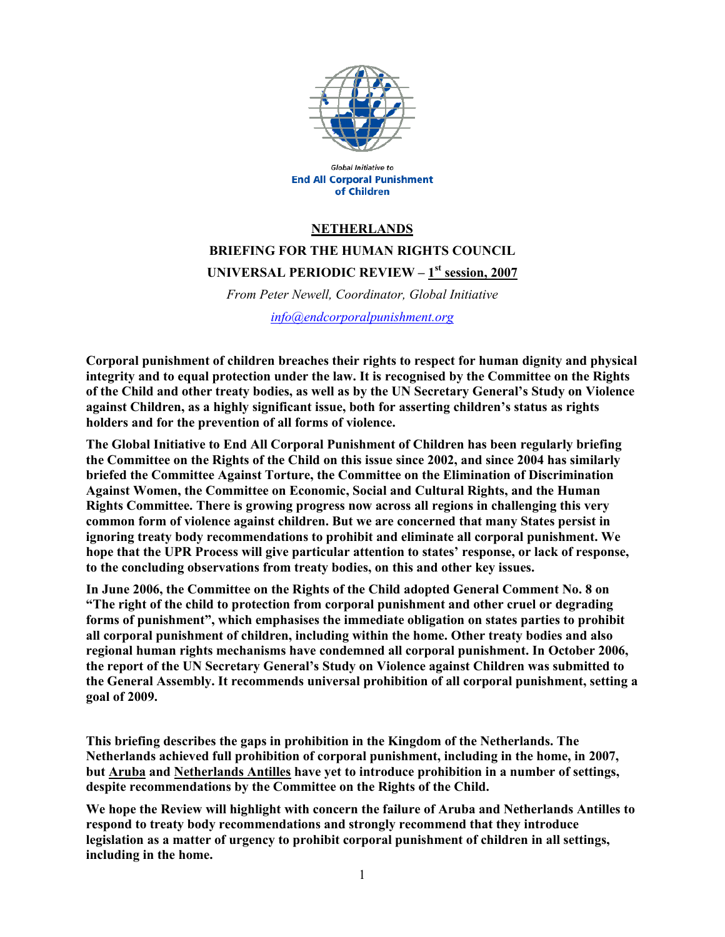

Global Initiative to **End All Corporal Punishment** of Children

### **NETHERLANDS**

**BRIEFING FOR THE HUMAN RIGHTS COUNCIL UNIVERSAL PERIODIC REVIEW – 1st session, 2007**

*From Peter Newell, Coordinator, Global Initiative info@endcorporalpunishment.org*

**Corporal punishment of children breaches their rights to respect for human dignity and physical integrity and to equal protection under the law. It is recognised by the Committee on the Rights of the Child and other treaty bodies, as well as by the UN Secretary General's Study on Violence against Children, as a highly significant issue, both for asserting children's status as rights holders and for the prevention of all forms of violence.** 

**The Global Initiative to End All Corporal Punishment of Children has been regularly briefing the Committee on the Rights of the Child on this issue since 2002, and since 2004 has similarly briefed the Committee Against Torture, the Committee on the Elimination of Discrimination Against Women, the Committee on Economic, Social and Cultural Rights, and the Human Rights Committee. There is growing progress now across all regions in challenging this very common form of violence against children. But we are concerned that many States persist in ignoring treaty body recommendations to prohibit and eliminate all corporal punishment. We hope that the UPR Process will give particular attention to states' response, or lack of response, to the concluding observations from treaty bodies, on this and other key issues.** 

**In June 2006, the Committee on the Rights of the Child adopted General Comment No. 8 on "The right of the child to protection from corporal punishment and other cruel or degrading forms of punishment", which emphasises the immediate obligation on states parties to prohibit all corporal punishment of children, including within the home. Other treaty bodies and also regional human rights mechanisms have condemned all corporal punishment. In October 2006, the report of the UN Secretary General's Study on Violence against Children was submitted to the General Assembly. It recommends universal prohibition of all corporal punishment, setting a goal of 2009.** 

**This briefing describes the gaps in prohibition in the Kingdom of the Netherlands. The Netherlands achieved full prohibition of corporal punishment, including in the home, in 2007, but Aruba and Netherlands Antilles have yet to introduce prohibition in a number of settings, despite recommendations by the Committee on the Rights of the Child.** 

**We hope the Review will highlight with concern the failure of Aruba and Netherlands Antilles to respond to treaty body recommendations and strongly recommend that they introduce legislation as a matter of urgency to prohibit corporal punishment of children in all settings, including in the home.**